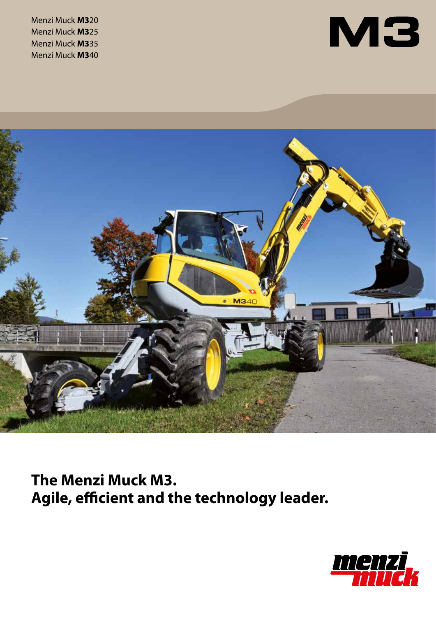Menzi Muck **M3**20 Menzi Muck **M3**25 Menzi Muck **M3**35 Menzi Muck **M3**40





**The Menzi Muck M3. Agile, efficient and the technology leader.**

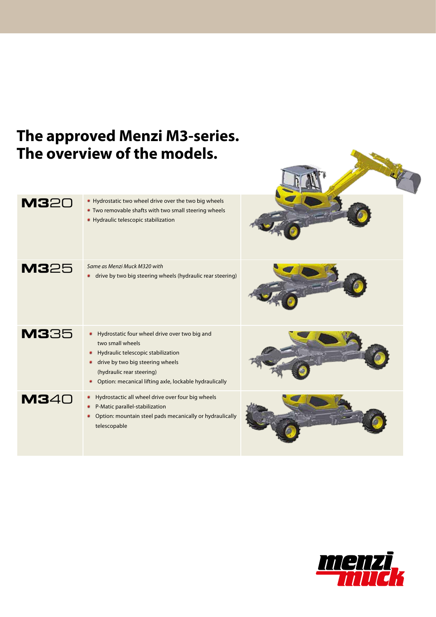# **The approved Menzi M3-series. The overview of the models. M320** Hydrostatic two wheel drive over the two big wheels Two removable shafts with two small steering wheels **• Hydraulic telescopic stabilization M3**25 *Same as Menzi Muck M320 with* drive by two big steering wheels (hydraulic rear steering) **M3**35 **Hydrostatic four wheel drive over two big and** two small wheels **•** Hydraulic telescopic stabilization **drive by two big steering wheels** (hydraulic rear steering) Option: mecanical lifting axle, lockable hydraulically **M3**40 **Hydrostactic all wheel drive over four big wheels** P-Matic parallel-stabilization Option: mountain steel pads mecanically or hydraulically telescopable

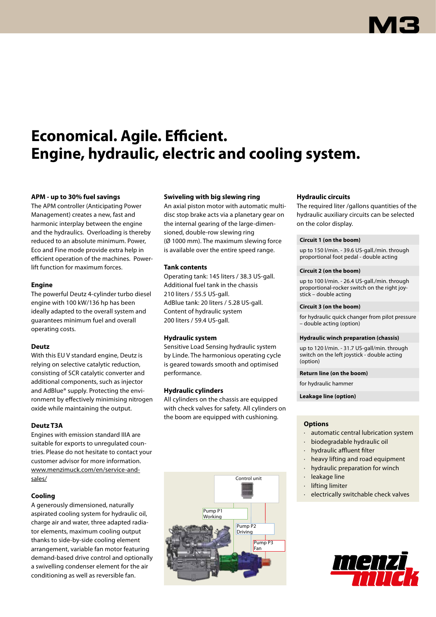# **Economical. Agile. Efficient. Engine, hydraulic, electric and cooling system.**

## **APM - up to 30% fuel savings**

The APM controller (Anticipating Power Management) creates a new, fast and harmonic interplay between the engine and the hydraulics. Overloading is thereby reduced to an absolute minimum. Power, Eco and Fine mode provide extra help in efficient operation of the machines. Powerlift function for maximum forces.

### **Engine**

The powerful Deutz 4-cylinder turbo diesel engine with 100 kW/136 hp has been ideally adapted to the overall system and guarantees minimum fuel and overall operating costs.

## **Deutz**

With this EU V standard engine, Deutz is relying on selective catalytic reduction, consisting of SCR catalytic converter and additional components, such as injector and AdBlue® supply. Protecting the environment by effectively minimising nitrogen oxide while maintaining the output.

## **Deutz T3A**

Engines with emission standard IIIA are suitable for exports to unregulated countries. Please do not hesitate to contact your customer advisor for more information. www.menzimuck.com/en/service-andsales/

## **Cooling**

A generously dimensioned, naturally aspirated cooling system for hydraulic oil, charge air and water, three adapted radiator elements, maximum cooling output thanks to side-by-side cooling element arrangement, variable fan motor featuring demand-based drive control and optionally a swivelling condenser element for the air conditioning as well as reversible fan.

## **Swiveling with big slewing ring**

An axial piston motor with automatic multidisc stop brake acts via a planetary gear on the internal gearing of the large-dimensioned, double-row slewing ring (Ø 1000 mm). The maximum slewing force is available over the entire speed range.

### **Tank contents**

Operating tank: 145 liters / 38.3 US-gall. Additional fuel tank in the chassis 210 liters / 55.5 US-gall. AdBlue tank: 20 liters / 5.28 US-gall. Content of hydraulic system 200 liters / 59.4 US-gall.

### **Hydraulic system**

Sensitive Load Sensing hydraulic system by Linde. The harmonious operating cycle is geared towards smooth and optimised performance.

## **Hydraulic cylinders**

All cylinders on the chassis are equipped with check valves for safety. All cylinders on the boom are equipped with cushioning.



## **Hydraulic circuits**

The required liter /gallons quantities of the hydraulic auxiliary circuits can be selected on the color display.

### **Circuit 1 (on the boom)**

up to 150 l/min. - 39.6 US-gall./min. through proportional foot pedal - double acting

### **Circuit 2 (on the boom)**

up to 100 l/min. - 26.4 US-gall./min. through proportional-rocker switch on the right joystick – double acting

### **Circuit 3 (on the boom)**

for hydraulic quick changer from pilot pressure – double acting (option)

### **Hydraulic winch preparation (chassis)**

up to 120 l/min. - 31.7 US-gall/min. through switch on the left joystick - double acting (option)

#### **Return line (on the boom)**

for hydraulic hammer

**Leakage line (option)**

### **Options**

- · automatic central lubrication system
- · biodegradable hydraulic oil
- hydraulic affluent filter
- heavy lifting and road equipment
- hydraulic preparation for winch
- leakage line
- · lifting limiter
- electrically switchable check valves

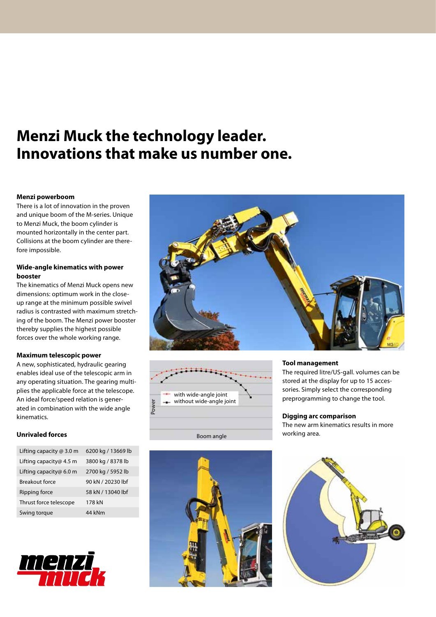## **Menzi Muck the technology leader. Innovations that make us number one.**

### **Menzi powerboom**

There is a lot of innovation in the proven and unique boom of the M-series. Unique to Menzi Muck, the boom cylinder is mounted horizontally in the center part. Collisions at the boom cylinder are therefore impossible.

### **Wide-angle kinematics with power booster**

The kinematics of Menzi Muck opens new dimensions: optimum work in the closeup range at the minimum possible swivel radius is contrasted with maximum stretching of the boom. The Menzi power booster thereby supplies the highest possible forces over the whole working range.

### **Maximum telescopic power**

A new, sophisticated, hydraulic gearing enables ideal use of the telescopic arm in any operating situation. The gearing multiplies the applicable force at the telescope. An ideal force/speed relation is generated in combination with the wide angle kinematics.

### **Unrivaled forces**

| Lifting capacity $@$ 3.0 m | 6200 kg / 13669 lb |
|----------------------------|--------------------|
| Lifting capacity@ 4.5 m    | 3800 kg / 8378 lb  |
| Lifting capacity@ 6.0 m    | 2700 kg / 5952 lb  |
| Breakout force             | 90 kN / 20230 lbf  |
| Ripping force              | 58 kN / 13040 lbf  |
| Thrust force telescope     | 178 kN             |
| Swing torque               | 44 kNm             |







Boom angle



#### **Tool management**

The required litre/US-gall. volumes can be stored at the display for up to 15 accessories. Simply select the corresponding preprogramming to change the tool.

## **Digging arc comparison**

The new arm kinematics results in more working area.

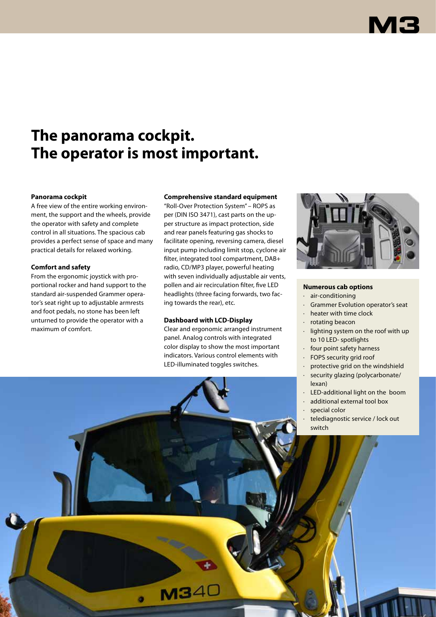## **The panorama cockpit. The operator is most important.**

### **Panorama cockpit**

A free view of the entire working environment, the support and the wheels, provide the operator with safety and complete control in all situations. The spacious cab provides a perfect sense of space and many practical details for relaxed working.

### **Comfort and safety**

From the ergonomic joystick with proportional rocker and hand support to the standard air-suspended Grammer operator's seat right up to adjustable armrests and foot pedals, no stone has been left unturned to provide the operator with a maximum of comfort.

## **Comprehensive standard equipment**

"Roll-Over Protection System" – ROPS as per (DIN ISO 3471), cast parts on the upper structure as impact protection, side and rear panels featuring gas shocks to facilitate opening, reversing camera, diesel input pump including limit stop, cyclone air filter, integrated tool compartment, DAB+ radio, CD/MP3 player, powerful heating with seven individually adjustable air vents, pollen and air recirculation filter, five LED headlights (three facing forwards, two facing towards the rear), etc.

### **Dashboard with LCD-Display**

 $M34C$ 

Clear and ergonomic arranged instrument panel. Analog controls with integrated color display to show the most important indicators. Various control elements with LED-illuminated toggles switches.



## **Numerous cab options**

- · air-conditioning
- Grammer Evolution operator's seat
- heater with time clock
- · rotating beacon
- · lighting system on the roof with up to 10 LED- spotlights
- · four point safety harness
- FOPS security grid roof
- protective grid on the windshield
- · security glazing (polycarbonate/ lexan)
- LED-additional light on the boom
- · additional external tool box
- special color
- telediagnostic service / lock out switch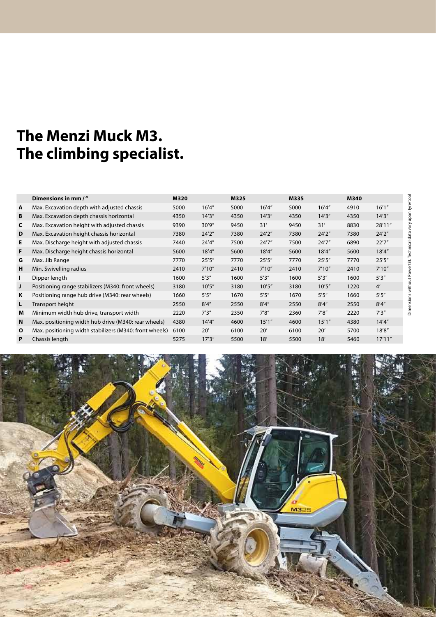# **The Menzi Muck M3. The climbing specialist.**

|              | Dimensions in mm /"                                     | M320 |        | M325 |        | M335 |        | M340 |         |
|--------------|---------------------------------------------------------|------|--------|------|--------|------|--------|------|---------|
| A            | Max. Excavation depth with adjusted chassis             | 5000 | 16'4'' | 5000 | 16'4'' | 5000 | 16'4'' | 4910 | 16'1''  |
| В            | Max. Excavation depth chassis horizontal                | 4350 | 14'3'' | 4350 | 14'3'' | 4350 | 14'3'' | 4350 | 14'3''  |
| C            | Max. Excavation height with adjusted chassis            | 9390 | 30'9'' | 9450 | 31'    | 9450 | 31'    | 8830 | 28'11"  |
| D            | Max. Excavation height chassis horizontal               | 7380 | 24'2'' | 7380 | 24'2'' | 7380 | 24'2'' | 7380 | 24'2''  |
| Е            | Max. Discharge height with adjusted chassis             | 7440 | 24'4'' | 7500 | 24'7'' | 7500 | 24'7'' | 6890 | 22'7''  |
| F.           | Max. Discharge height chassis horizontal                | 5600 | 18'4'' | 5600 | 18'4'' | 5600 | 18'4'' | 5600 | 18'4''  |
| G            | Max. Jib Range                                          | 7770 | 25'5'' | 7770 | 25'5'' | 7770 | 25'5'' | 7770 | 25'5''  |
| н            | Min. Swivelling radius                                  | 2410 | 7'10'' | 2410 | 7'10'' | 2410 | 7'10'' | 2410 | 7'10''  |
| ı            | Dipper length                                           | 1600 | 5'3''  | 1600 | 5'3''  | 1600 | 5'3''  | 1600 | 5'3''   |
| J            | Positioning range stabilizers (M340: front wheels)      | 3180 | 10'5'' | 3180 | 10'5'' | 3180 | 10'5'' | 1220 | 4'      |
| K            | Positioning range hub drive (M340: rear wheels)         | 1660 | 5'5''  | 1670 | 5'5''  | 1670 | 5'5''  | 1660 | 5'5''   |
| L            | Transport height                                        | 2550 | 8'4''  | 2550 | 8'4''  | 2550 | 8'4''  | 2550 | 8'4''   |
| M            | Minimum width hub drive, transport width                | 2220 | 7'3''  | 2350 | 7'8''  | 2360 | 7'8''  | 2220 | 7'3''   |
| N            | Max. positioning width hub drive (M340: rear wheels)    | 4380 | 14'4'' | 4600 | 15'1'' | 4600 | 15'1'' | 4380 | 14'4''  |
| $\mathbf{o}$ | Max. positioning width stabilizers (M340: front wheels) | 6100 | 20'    | 6100 | 20'    | 6100 | 20'    | 5700 | 18'8''  |
| P            | Chassis length                                          | 5275 | 17'3'' | 5500 | 18'    | 5500 | 18'    | 5460 | 17'11'' |

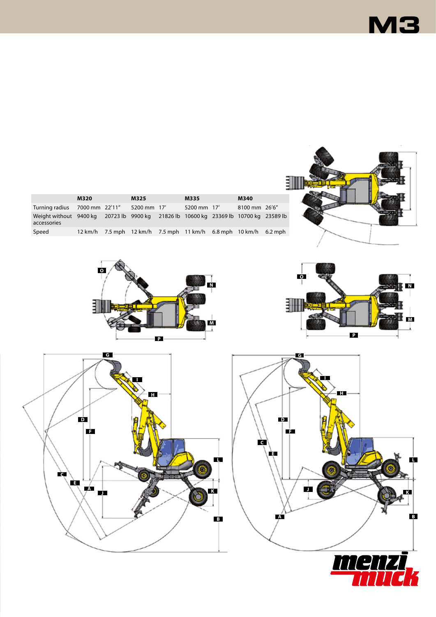

|                                                                                                     | <b>M320</b> | M325        | M335                                                            | M340          |  |
|-----------------------------------------------------------------------------------------------------|-------------|-------------|-----------------------------------------------------------------|---------------|--|
| Turning radius 7000 mm 22'11"                                                                       |             | 5200 mm 17' | 5200 mm 17'                                                     | 8100 mm 26'6" |  |
| Weight without 9400 kg 20723 lb 9900 kg 21826 lb 10600 kg 23369 lb 10700 kg 23589 lb<br>accessories |             |             |                                                                 |               |  |
| Speed                                                                                               |             |             | 12 km/h 7.5 mph 12 km/h 7.5 mph 11 km/h 6.8 mph 10 km/h 6.2 mph |               |  |
|                                                                                                     |             |             |                                                                 |               |  |